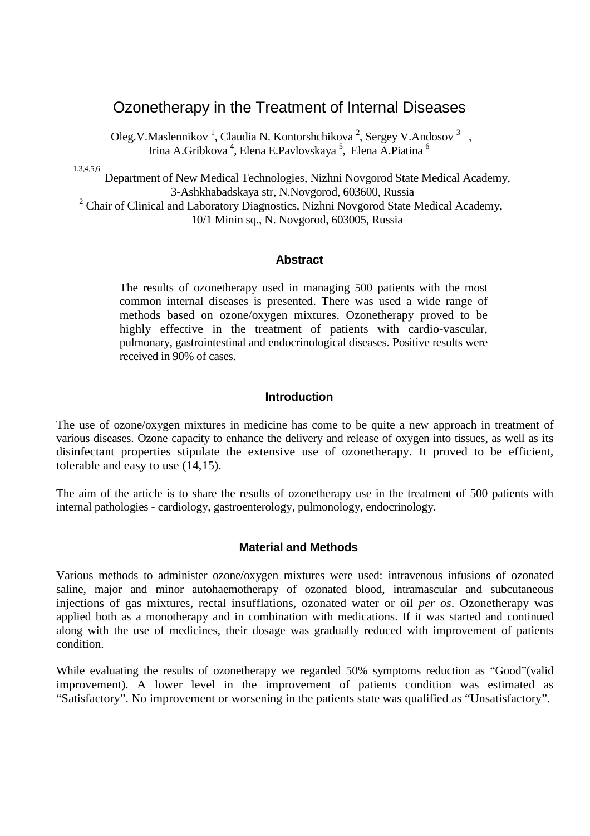# Ozonetherapy in the Treatment of Internal Diseases

Oleg. V. Maslennikov<sup>1</sup>, Claudia N. Kontorshchikova<sup>2</sup>, Sergey V. Andosov<sup>3</sup>, Irina A.Gribkova <sup>4</sup>, Elena E.Pavlovskaya <sup>5</sup>, Elena A.Piatina <sup>6</sup>

1,3,4,5,6

Department of New Medical Technologies, Nizhni Novgorod State Medical Academy, 3-Ashkhabadskaya str, N.Novgorod, 603600, Russia <sup>2</sup> Chair of Clinical and Laboratory Diagnostics, Nizhni Novgorod State Medical Academy,

10/1 Minin sq., N. Novgorod, 603005, Russia

#### **Abstract**

The results of ozonetherapy used in managing 500 patients with the most common internal diseases is presented. There was used a wide range of methods based on ozone/oxygen mixtures. Ozonetherapy proved to be highly effective in the treatment of patients with cardio-vascular, pulmonary, gastrointestinal and endocrinological diseases. Positive results were received in 90% of cases.

#### **Introduction**

The use of ozone/oxygen mixtures in medicine has come to be quite a new approach in treatment of various diseases. Ozone capacity to enhance the delivery and release of oxygen into tissues, as well as its disinfectant properties stipulate the extensive use of ozonetherapy. It proved to be efficient, tolerable and easy to use (14,15).

The aim of the article is to share the results of ozonetherapy use in the treatment of 500 patients with internal pathologies - cardiology, gastroenterology, pulmonology, endocrinology.

### **Material and Methods**

Various methods to administer ozone/oxygen mixtures were used: intravenous infusions of ozonated saline, major and minor autohaemotherapy of ozonated blood, intramascular and subcutaneous injections of gas mixtures, rectal insufflations, ozonated water or oil *per os*. Ozonetherapy was applied both as a monotherapy and in combination with medications. If it was started and continued along with the use of medicines, their dosage was gradually reduced with improvement of patients condition.

While evaluating the results of ozonetherapy we regarded 50% symptoms reduction as "Good"(valid improvement). A lower level in the improvement of patients condition was estimated as "Satisfactory". No improvement or worsening in the patients state was qualified as "Unsatisfactory".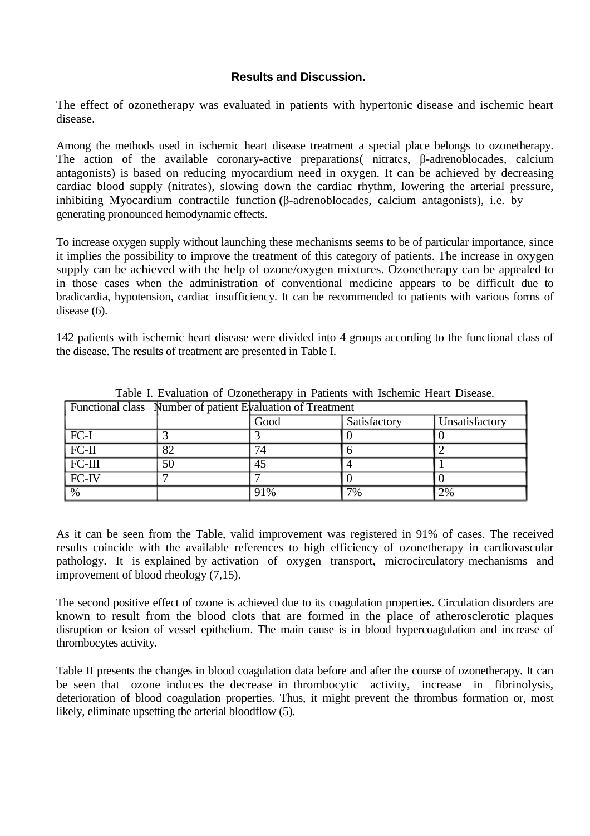## **Results and Discussion.**

The effect of ozonetherapy was evaluated in patients with hypertonic disease and ischemic heart disease.

Among the methods used in ischemic heart disease treatment a special place belongs to ozonetherapy. The action of the available coronary-active preparations( nitrates, β-adrenoblocades, calcium antagonists) is based on reducing myocardium need in oxygen. It can be achieved by decreasing cardiac blood supply (nitrates), slowing down the cardiac rhythm, lowering the arterial pressure, inhibiting Myocardium contractile function **(**β-adrenoblocades, calcium antagonists), i.e. by generating pronounced hemodynamic effects.

To increase oxygen supply without launching these mechanisms seems to be of particular importance, since it implies the possibility to improve the treatment of this category of patients. The increase in oxygen supply can be achieved with the help of ozone/oxygen mixtures. Ozonetherapy can be appealed to in those cases when the administration of conventional medicine appears to be difficult due to bradicardia, hypotension, cardiac insufficiency. It can be recommended to patients with various forms of disease (6).

142 patients with ischemic heart disease were divided into 4 groups according to the functional class of the disease. The results of treatment are presented in Table I.

| <b>Functional class</b> Number of patient Evaluation of Treatment |                 |      |              |                |  |
|-------------------------------------------------------------------|-----------------|------|--------------|----------------|--|
|                                                                   |                 | Good | Satisfactory | Unsatisfactory |  |
| $ FC-I$                                                           |                 |      |              |                |  |
| $FC-II$                                                           | 82              | 74   |              |                |  |
| $FC-III$                                                          | $\overline{50}$ | 45   |              |                |  |
| $FC-IV$                                                           |                 |      |              |                |  |
| $\frac{0}{6}$                                                     |                 | 91%  | 7%           | $2\%$          |  |

Table I. Evaluation of Ozonetherapy in Patients with Ischemic Heart Disease.

As it can be seen from the Table, valid improvement was registered in 91% of cases. The received results coincide with the available references to high efficiency of ozonetherapy in cardiovascular pathology. It is explained by activation of oxygen transport, microcirculatory mechanisms and improvement of blood rheology (7,15).

The second positive effect of ozone is achieved due to its coagulation properties. Circulation disorders are known to result from the blood clots that are formed in the place of atherosclerotic plaques disruption or lesion of vessel epithelium. The main cause is in blood hypercoagulation and increase of thrombocytes activity.

Table II presents the changes in blood coagulation data before and after the course of ozonetherapy. It can be seen that ozone induces the decrease in thrombocytic activity, increase in fibrinolysis, deterioration of blood coagulation properties. Thus, it might prevent the thrombus formation or, most likely, eliminate upsetting the arterial bloodflow (5).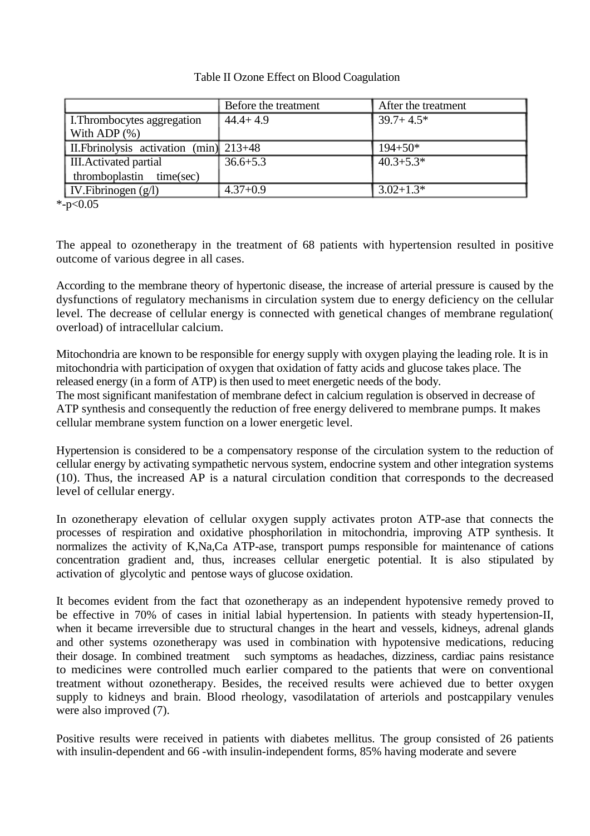## Table II Ozone Effect on Blood Coagulation

|                                         | Before the treatment | After the treatment |
|-----------------------------------------|----------------------|---------------------|
| L.Thrombocytes aggregation              | $44.4 + 4.9$         | $39.7 + 4.5*$       |
| With ADP $(\%)$                         |                      |                     |
| II. Fbrinolysis activation (min) 213+48 |                      | $194 + 50*$         |
| <b>III.</b> Activated partial           | $36.6 + 5.3$         | $40.3 + 5.3*$       |
| thromboplastin time(sec)                |                      |                     |
| $\vert$ IV. Fibrinogen $(g/l)$          | $4.37+0.9$           | $3.02 + 1.3*$       |

 $*$ -p<0.05

The appeal to ozonetherapy in the treatment of 68 patients with hypertension resulted in positive outcome of various degree in all cases.

According to the membrane theory of hypertonic disease, the increase of arterial pressure is caused by the dysfunctions of regulatory mechanisms in circulation system due to energy deficiency on the cellular level. The decrease of cellular energy is connected with genetical changes of membrane regulation( overload) of intracellular calcium.

Mitochondria are known to be responsible for energy supply with oxygen playing the leading role. It is in mitochondria with participation of oxygen that oxidation of fatty acids and glucose takes place. The released energy (in a form of ATP) is then used to meet energetic needs of the body.

The most significant manifestation of membrane defect in calcium regulation is observed in decrease of ATP synthesis and consequently the reduction of free energy delivered to membrane pumps. It makes cellular membrane system function on a lower energetic level.

Hypertension is considered to be a compensatory response of the circulation system to the reduction of cellular energy by activating sympathetic nervous system, endocrine system and other integration systems (10). Thus, the increased AP is a natural circulation condition that corresponds to the decreased level of cellular energy.

In ozonetherapy elevation of cellular oxygen supply activates proton ATP-ase that connects the processes of respiration and oxidative phosphorilation in mitochondria, improving ATP synthesis. It normalizes the activity of K,Na,Ca ATP-ase, transport pumps responsible for maintenance of cations concentration gradient and, thus, increases cellular energetic potential. It is also stipulated by activation of glycolytic and pentose ways of glucose oxidation.

It becomes evident from the fact that ozonetherapy as an independent hypotensive remedy proved to be effective in 70% of cases in initial labial hypertension. In patients with steady hypertension-II, when it became irreversible due to structural changes in the heart and vessels, kidneys, adrenal glands and other systems ozonetherapy was used in combination with hypotensive medications, reducing their dosage. In combined treatment such symptoms as headaches, dizziness, cardiac pains resistance to medicines were controlled much earlier compared to the patients that were on conventional treatment without ozonetherapy. Besides, the received results were achieved due to better oxygen supply to kidneys and brain. Blood rheology, vasodilatation of arteriols and postcappilary venules were also improved (7).

Positive results were received in patients with diabetes mellitus. The group consisted of 26 patients with insulin-dependent and 66 -with insulin-independent forms, 85% having moderate and severe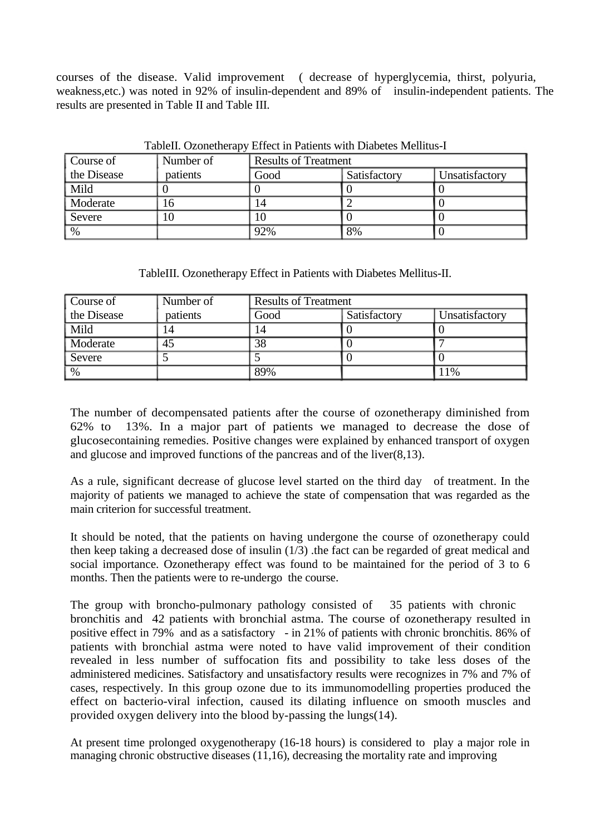courses of the disease. Valid improvement ( decrease of hyperglycemia, thirst, polyuria, weakness,etc.) was noted in 92% of insulin-dependent and 89% of insulin-independent patients. The results are presented in Table II and Table III.

| Course of            | Number of | <b>Results of Treatment</b> |              |                |
|----------------------|-----------|-----------------------------|--------------|----------------|
| the Disease          | patients  | Good                        | Satisfactory | Unsatisfactory |
| $\sqrt{\text{Mild}}$ |           |                             |              |                |
| Moderate             | 16        | 14                          |              |                |
| Severe               | 10        | 10                          |              |                |
| $\sqrt{0}$           |           | 92%                         | 8%           |                |

TableII. Ozonetherapy Effect in Patients with Diabetes Mellitus-I

TableIII. Ozonetherapy Effect in Patients with Diabetes Mellitus-II.

| Course of   | Number of | <b>Results of Treatment</b> |              |                |
|-------------|-----------|-----------------------------|--------------|----------------|
| the Disease | patients  | Good                        | Satisfactory | Unsatisfactory |
| Mild        | 14        |                             |              |                |
| Moderate    | 45        | 38                          |              |                |
| Severe      |           |                             |              |                |
| $\%$        |           | 89%                         |              | 1%             |

The number of decompensated patients after the course of ozonetherapy diminished from 62% to 13%. In a major part of patients we managed to decrease the dose of glucosecontaining remedies. Positive changes were explained by enhanced transport of oxygen and glucose and improved functions of the pancreas and of the liver(8,13).

As a rule, significant decrease of glucose level started on the third day of treatment. In the majority of patients we managed to achieve the state of compensation that was regarded as the main criterion for successful treatment.

It should be noted, that the patients on having undergone the course of ozonetherapy could then keep taking a decreased dose of insulin (1/3) .the fact can be regarded of great medical and social importance. Ozonetherapy effect was found to be maintained for the period of 3 to 6 months. Then the patients were to re-undergo the course.

The group with broncho-pulmonary pathology consisted of 35 patients with chronic bronchitis and 42 patients with bronchial astma. The course of ozonetherapy resulted in positive effect in 79% and as a satisfactory - in 21% of patients with chronic bronchitis. 86% of patients with bronchial astma were noted to have valid improvement of their condition revealed in less number of suffocation fits and possibility to take less doses of the administered medicines. Satisfactory and unsatisfactory results were recognizes in 7% and 7% of cases, respectively. In this group ozone due to its immunomodelling properties produced the effect on bacterio-viral infection, caused its dilating influence on smooth muscles and provided oxygen delivery into the blood by-passing the lungs(14).

At present time prolonged oxygenotherapy (16-18 hours) is considered to play a major role in managing chronic obstructive diseases (11,16), decreasing the mortality rate and improving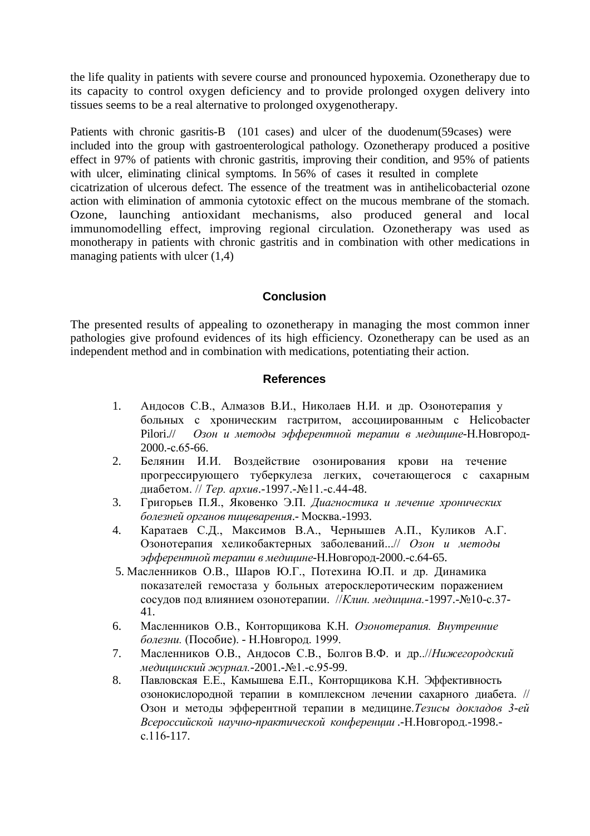the life quality in patients with severe course and pronounced hypoxemia. Ozonetherapy due to its capacity to control oxygen deficiency and to provide prolonged oxygen delivery into tissues seems to be a real alternative to prolonged oxygenotherapy.

Patients with chronic gasritis-B (101 cases) and ulcer of the duodenum (59 cases) were included into the group with gastroenterological pathology. Ozonetherapy produced a positive effect in 97% of patients with chronic gastritis, improving their condition, and 95% of patients with ulcer, eliminating clinical symptoms. In 56% of cases it resulted in complete cicatrization of ulcerous defect. The essence of the treatment was in antihelicobacterial ozone action with elimination of ammonia cytotoxic effect on the mucous membrane of the stomach. Ozone, launching antioxidant mechanisms, also produced general and local immunomodelling effect, improving regional circulation. Ozonetherapy was used as monotherapy in patients with chronic gastritis and in combination with other medications in managing patients with ulcer (1,4)

## **Conclusion**

The presented results of appealing to ozonetherapy in managing the most common inner pathologies give profound evidences of its high efficiency. Ozonetherapy can be used as an independent method and in combination with medications, potentiating their action.

#### **References**

- 1. Андосов С.В., Алмазов В.И., Николаев Н.И. и др. Озонотерапия у больных с хроническим гастритом, ассоциированным с Helicobacter Pilori.// *Озон и методы эфферентной терапии в медицине-*Н.Новгород-2000.-с.65-66.
- 2. Белянин И.И. Воздействие озонирования крови на течение прогрессирующего туберкулеза легких, сочетающегося с сахарным диабетом. // *Тер. архив*.-1997.-№11.-с.44-48.
- 3. Григорьев П.Я., Яковенко Э.П. *Диагностика и лечение хронических болезней органов пищеварения*.- Москва.-1993.
- 4. Каратаев С.Д., Максимов В.А., Чернышев А.П., Куликов А.Г. Озонотерапия хеликобактерных заболеваний...// *Озон и методы эфферентной терапии в медицине*-Н.Новгород-2000.-с.64-65.
- 5. Масленников О.В., Шаров Ю.Г., Потехина Ю.П. и др. Динамика показателей гемостаза у больных атеросклеротическим поражением сосудов под влиянием озонотерапии. //*Клин. медицина.-*1997.-№10-с.37- 41.
- 6. Масленников О.В., Конторщикова К.Н. *Озонотерапия. Внутренние болезни.* (Пособие). - Н.Новгород. 1999.
- 7. Масленников О.В., Андосов С.В., Болгов В.Ф. и др..//*Нижегородский медицинский журнал.-*2001.-№1.-с.95-99.
- 8. Павловская Е.Е., Камышева Е.П., Конторщикова К.Н. Эффективность озонокислородной терапии в комплексном лечении сахарного диабета. // Озон и методы эфферентной терапии в медицине.*Тезисы докладов 3-ей Всероссийской научно-практической конференции* .-Н.Новгород.-1998. с.116-117.